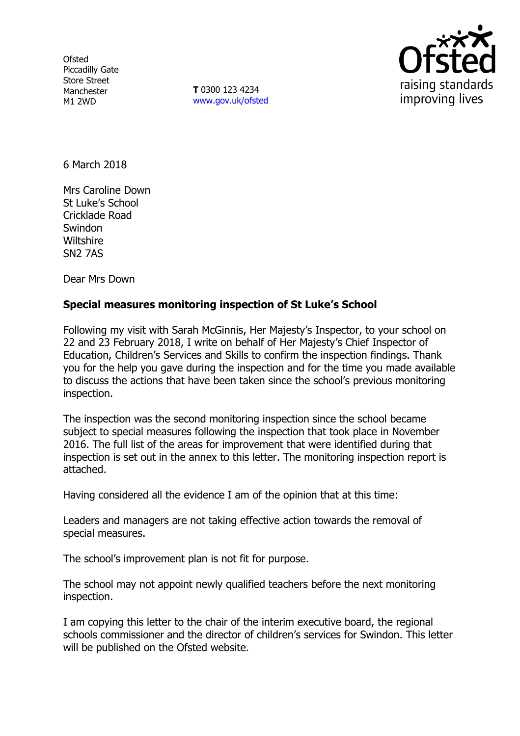**Ofsted** Piccadilly Gate Store Street Manchester M1 2WD

**T** 0300 123 4234 www.gov.uk/ofsted



6 March 2018

Mrs Caroline Down St Luke's School Cricklade Road Swindon **Wiltshire** SN2 7AS

Dear Mrs Down

# **Special measures monitoring inspection of St Luke's School**

Following my visit with Sarah McGinnis, Her Majesty's Inspector, to your school on 22 and 23 February 2018, I write on behalf of Her Majesty's Chief Inspector of Education, Children's Services and Skills to confirm the inspection findings. Thank you for the help you gave during the inspection and for the time you made available to discuss the actions that have been taken since the school's previous monitoring inspection.

The inspection was the second monitoring inspection since the school became subject to special measures following the inspection that took place in November 2016. The full list of the areas for improvement that were identified during that inspection is set out in the annex to this letter. The monitoring inspection report is attached.

Having considered all the evidence I am of the opinion that at this time:

Leaders and managers are not taking effective action towards the removal of special measures.

The school's improvement plan is not fit for purpose.

The school may not appoint newly qualified teachers before the next monitoring inspection.

I am copying this letter to the chair of the interim executive board, the regional schools commissioner and the director of children's services for Swindon. This letter will be published on the Ofsted website.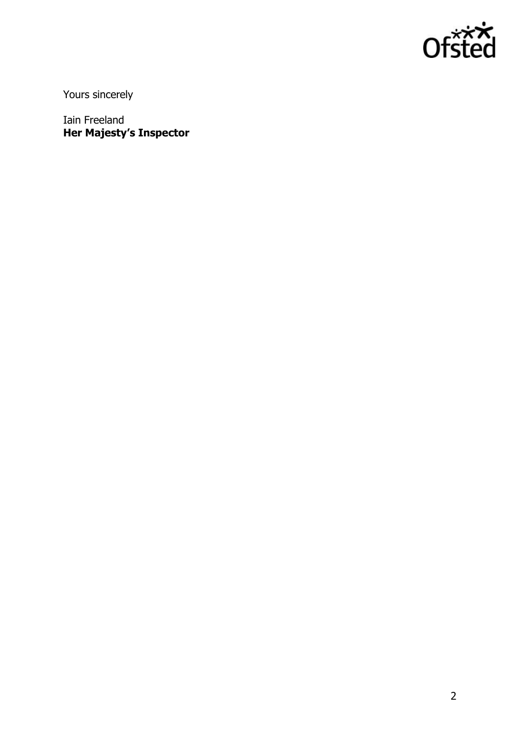

Yours sincerely

Iain Freeland **Her Majesty's Inspector**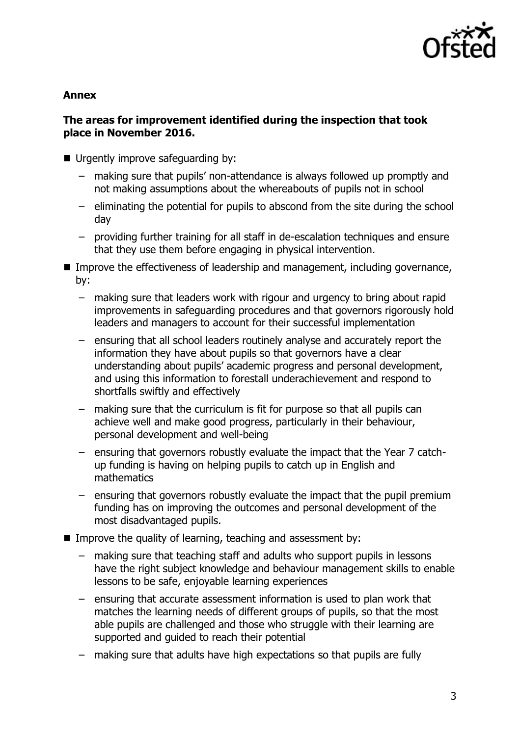

### **Annex**

## **The areas for improvement identified during the inspection that took place in November 2016.**

- Urgently improve safeguarding by:
	- making sure that pupils' non-attendance is always followed up promptly and not making assumptions about the whereabouts of pupils not in school
	- eliminating the potential for pupils to abscond from the site during the school day
	- providing further training for all staff in de-escalation techniques and ensure that they use them before engaging in physical intervention.
- **IMPROVE THE EFFECT IVENESS OF LEADER SHOW AND MANAGEMENT CONCHANGEMENT IN THE INCOCONCLET IN THE EXAM** by:
	- making sure that leaders work with rigour and urgency to bring about rapid improvements in safeguarding procedures and that governors rigorously hold leaders and managers to account for their successful implementation
	- ensuring that all school leaders routinely analyse and accurately report the information they have about pupils so that governors have a clear understanding about pupils' academic progress and personal development, and using this information to forestall underachievement and respond to shortfalls swiftly and effectively
	- making sure that the curriculum is fit for purpose so that all pupils can achieve well and make good progress, particularly in their behaviour, personal development and well-being
	- ensuring that governors robustly evaluate the impact that the Year 7 catchup funding is having on helping pupils to catch up in English and mathematics
	- ensuring that governors robustly evaluate the impact that the pupil premium funding has on improving the outcomes and personal development of the most disadvantaged pupils.
- Improve the quality of learning, teaching and assessment by:
	- making sure that teaching staff and adults who support pupils in lessons have the right subject knowledge and behaviour management skills to enable lessons to be safe, enjoyable learning experiences
	- ensuring that accurate assessment information is used to plan work that matches the learning needs of different groups of pupils, so that the most able pupils are challenged and those who struggle with their learning are supported and guided to reach their potential
	- making sure that adults have high expectations so that pupils are fully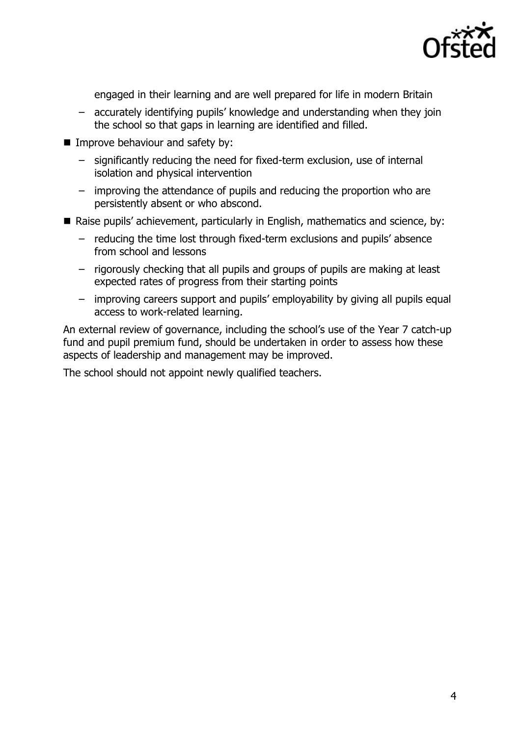

engaged in their learning and are well prepared for life in modern Britain

- accurately identifying pupils' knowledge and understanding when they join the school so that gaps in learning are identified and filled.
- **I** Improve behaviour and safety by:
	- significantly reducing the need for fixed-term exclusion, use of internal isolation and physical intervention
	- improving the attendance of pupils and reducing the proportion who are persistently absent or who abscond.
- Raise pupils' achievement, particularly in English, mathematics and science, by:
	- reducing the time lost through fixed-term exclusions and pupils' absence from school and lessons
	- rigorously checking that all pupils and groups of pupils are making at least expected rates of progress from their starting points
	- improving careers support and pupils' employability by giving all pupils equal access to work-related learning.

An external review of governance, including the school's use of the Year 7 catch-up fund and pupil premium fund, should be undertaken in order to assess how these aspects of leadership and management may be improved.

The school should not appoint newly qualified teachers.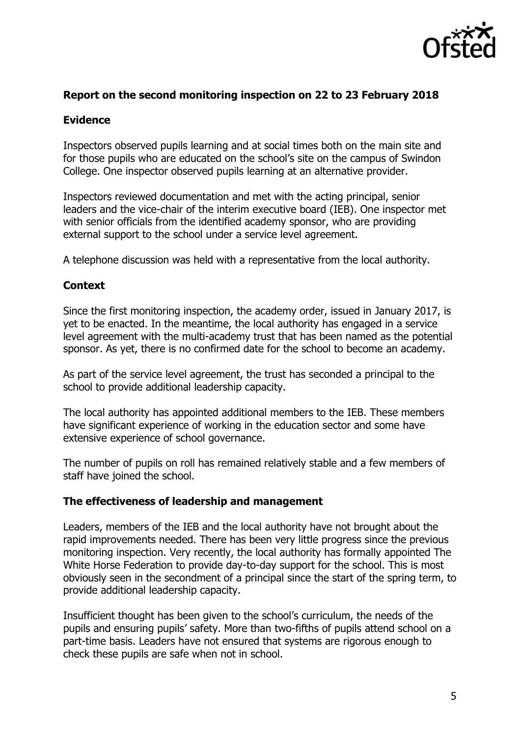

### **Report on the second monitoring inspection on 22 to 23 February 2018**

### **Evidence**

Inspectors observed pupils learning and at social times both on the main site and for those pupils who are educated on the school's site on the campus of Swindon College. One inspector observed pupils learning at an alternative provider.

Inspectors reviewed documentation and met with the acting principal, senior leaders and the vice-chair of the interim executive board (IEB). One inspector met with senior officials from the identified academy sponsor, who are providing external support to the school under a service level agreement.

A telephone discussion was held with a representative from the local authority.

### **Context**

Since the first monitoring inspection, the academy order, issued in January 2017, is yet to be enacted. In the meantime, the local authority has engaged in a service level agreement with the multi-academy trust that has been named as the potential sponsor. As yet, there is no confirmed date for the school to become an academy.

As part of the service level agreement, the trust has seconded a principal to the school to provide additional leadership capacity.

The local authority has appointed additional members to the IEB. These members have significant experience of working in the education sector and some have extensive experience of school governance.

The number of pupils on roll has remained relatively stable and a few members of staff have joined the school.

### **The effectiveness of leadership and management**

Leaders, members of the IEB and the local authority have not brought about the rapid improvements needed. There has been very little progress since the previous monitoring inspection. Very recently, the local authority has formally appointed The White Horse Federation to provide day-to-day support for the school. This is most obviously seen in the secondment of a principal since the start of the spring term, to provide additional leadership capacity.

Insufficient thought has been given to the school's curriculum, the needs of the pupils and ensuring pupils' safety. More than two-fifths of pupils attend school on a part-time basis. Leaders have not ensured that systems are rigorous enough to check these pupils are safe when not in school.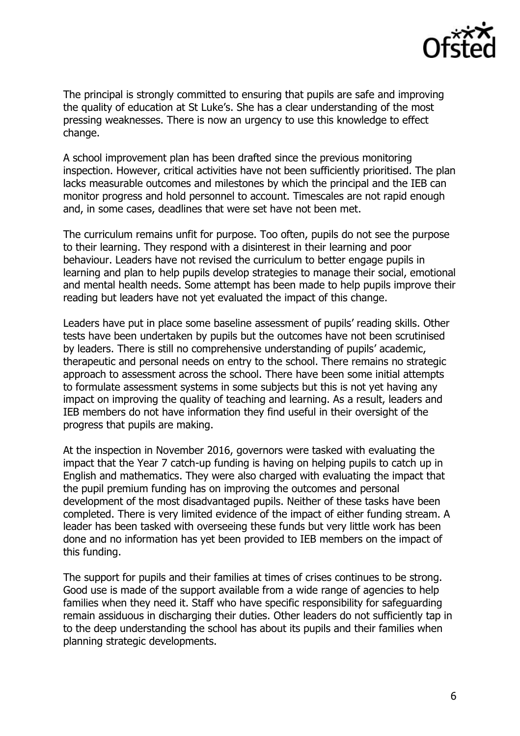

The principal is strongly committed to ensuring that pupils are safe and improving the quality of education at St Luke's. She has a clear understanding of the most pressing weaknesses. There is now an urgency to use this knowledge to effect change.

A school improvement plan has been drafted since the previous monitoring inspection. However, critical activities have not been sufficiently prioritised. The plan lacks measurable outcomes and milestones by which the principal and the IEB can monitor progress and hold personnel to account. Timescales are not rapid enough and, in some cases, deadlines that were set have not been met.

The curriculum remains unfit for purpose. Too often, pupils do not see the purpose to their learning. They respond with a disinterest in their learning and poor behaviour. Leaders have not revised the curriculum to better engage pupils in learning and plan to help pupils develop strategies to manage their social, emotional and mental health needs. Some attempt has been made to help pupils improve their reading but leaders have not yet evaluated the impact of this change.

Leaders have put in place some baseline assessment of pupils' reading skills. Other tests have been undertaken by pupils but the outcomes have not been scrutinised by leaders. There is still no comprehensive understanding of pupils' academic, therapeutic and personal needs on entry to the school. There remains no strategic approach to assessment across the school. There have been some initial attempts to formulate assessment systems in some subjects but this is not yet having any impact on improving the quality of teaching and learning. As a result, leaders and IEB members do not have information they find useful in their oversight of the progress that pupils are making.

At the inspection in November 2016, governors were tasked with evaluating the impact that the Year 7 catch-up funding is having on helping pupils to catch up in English and mathematics. They were also charged with evaluating the impact that the pupil premium funding has on improving the outcomes and personal development of the most disadvantaged pupils. Neither of these tasks have been completed. There is very limited evidence of the impact of either funding stream. A leader has been tasked with overseeing these funds but very little work has been done and no information has yet been provided to IEB members on the impact of this funding.

The support for pupils and their families at times of crises continues to be strong. Good use is made of the support available from a wide range of agencies to help families when they need it. Staff who have specific responsibility for safeguarding remain assiduous in discharging their duties. Other leaders do not sufficiently tap in to the deep understanding the school has about its pupils and their families when planning strategic developments.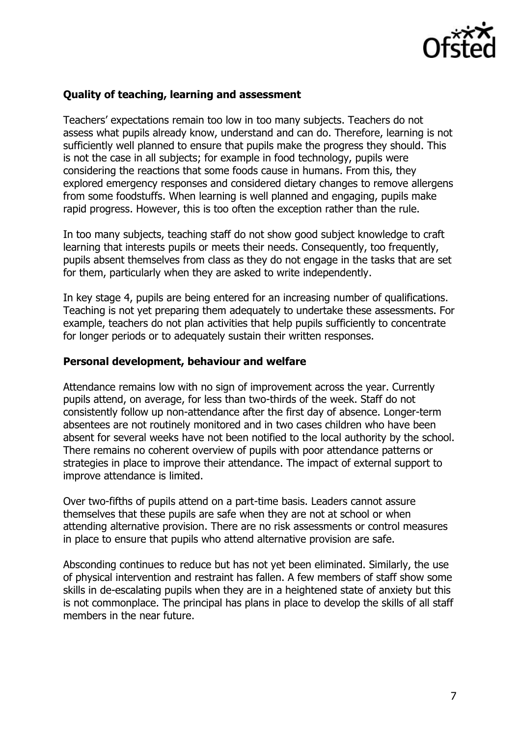

### **Quality of teaching, learning and assessment**

Teachers' expectations remain too low in too many subjects. Teachers do not assess what pupils already know, understand and can do. Therefore, learning is not sufficiently well planned to ensure that pupils make the progress they should. This is not the case in all subjects; for example in food technology, pupils were considering the reactions that some foods cause in humans. From this, they explored emergency responses and considered dietary changes to remove allergens from some foodstuffs. When learning is well planned and engaging, pupils make rapid progress. However, this is too often the exception rather than the rule.

In too many subjects, teaching staff do not show good subject knowledge to craft learning that interests pupils or meets their needs. Consequently, too frequently, pupils absent themselves from class as they do not engage in the tasks that are set for them, particularly when they are asked to write independently.

In key stage 4, pupils are being entered for an increasing number of qualifications. Teaching is not yet preparing them adequately to undertake these assessments. For example, teachers do not plan activities that help pupils sufficiently to concentrate for longer periods or to adequately sustain their written responses.

#### **Personal development, behaviour and welfare**

Attendance remains low with no sign of improvement across the year. Currently pupils attend, on average, for less than two-thirds of the week. Staff do not consistently follow up non-attendance after the first day of absence. Longer-term absentees are not routinely monitored and in two cases children who have been absent for several weeks have not been notified to the local authority by the school. There remains no coherent overview of pupils with poor attendance patterns or strategies in place to improve their attendance. The impact of external support to improve attendance is limited.

Over two-fifths of pupils attend on a part-time basis. Leaders cannot assure themselves that these pupils are safe when they are not at school or when attending alternative provision. There are no risk assessments or control measures in place to ensure that pupils who attend alternative provision are safe.

Absconding continues to reduce but has not yet been eliminated. Similarly, the use of physical intervention and restraint has fallen. A few members of staff show some skills in de-escalating pupils when they are in a heightened state of anxiety but this is not commonplace. The principal has plans in place to develop the skills of all staff members in the near future.